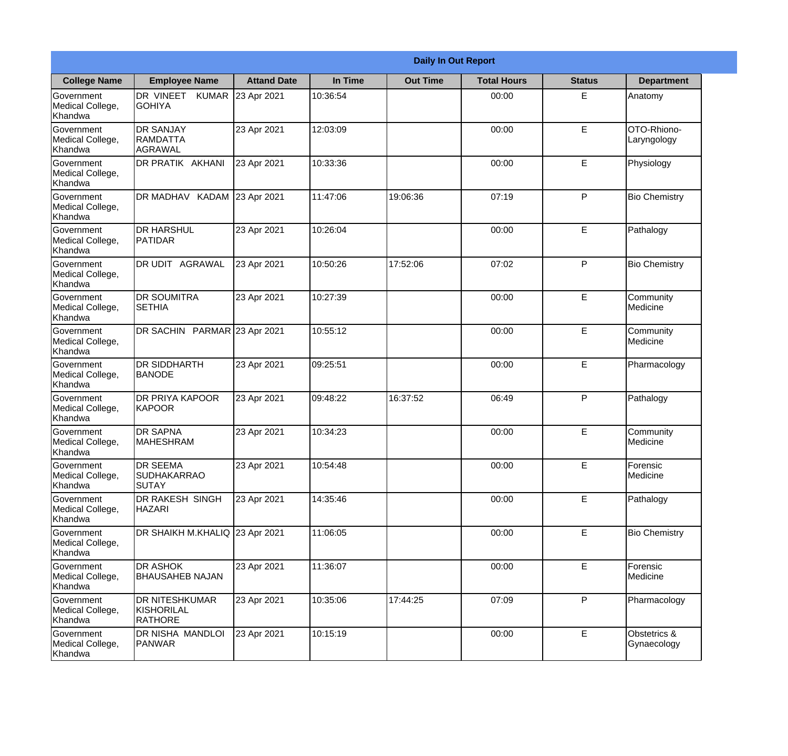|                                                  | <b>Daily In Out Report</b>                            |                    |          |                 |                    |               |                             |
|--------------------------------------------------|-------------------------------------------------------|--------------------|----------|-----------------|--------------------|---------------|-----------------------------|
| <b>College Name</b>                              | <b>Employee Name</b>                                  | <b>Attand Date</b> | In Time  | <b>Out Time</b> | <b>Total Hours</b> | <b>Status</b> | <b>Department</b>           |
| Government<br>Medical College,<br>Khandwa        | DR VINEET KUMAR<br><b>GOHIYA</b>                      | 23 Apr 2021        | 10:36:54 |                 | 00:00              | E             | Anatomy                     |
| Government<br>Medical College,<br>Khandwa        | <b>DR SANJAY</b><br><b>RAMDATTA</b><br><b>AGRAWAL</b> | 23 Apr 2021        | 12:03:09 |                 | 00:00              | E             | OTO-Rhiono-<br>Laryngology  |
| <b>Government</b><br>Medical College,<br>Khandwa | DR PRATIK AKHANI                                      | 23 Apr 2021        | 10:33:36 |                 | 00:00              | E             | Physiology                  |
| Government<br>Medical College,<br>Khandwa        | DR MADHAV KADAM                                       | 23 Apr 2021        | 11:47:06 | 19:06:36        | 07:19              | P             | <b>Bio Chemistry</b>        |
| <b>Government</b><br>Medical College,<br>Khandwa | <b>DR HARSHUL</b><br><b>PATIDAR</b>                   | 23 Apr 2021        | 10:26:04 |                 | 00:00              | E             | Pathalogy                   |
| Government<br>Medical College,<br>Khandwa        | DR UDIT AGRAWAL                                       | 23 Apr 2021        | 10:50:26 | 17:52:06        | 07:02              | P             | <b>Bio Chemistry</b>        |
| Government<br>Medical College,<br>Khandwa        | <b>DR SOUMITRA</b><br><b>SETHIA</b>                   | 23 Apr 2021        | 10:27:39 |                 | 00:00              | E             | Community<br>Medicine       |
| Government<br>Medical College,<br>Khandwa        | DR SACHIN PARMAR 23 Apr 2021                          |                    | 10:55:12 |                 | 00:00              | E             | Community<br>Medicine       |
| Government<br>Medical College,<br>Khandwa        | <b>DR SIDDHARTH</b><br><b>BANODE</b>                  | 23 Apr 2021        | 09:25:51 |                 | 00:00              | E             | Pharmacology                |
| Government<br>Medical College,<br>Khandwa        | DR PRIYA KAPOOR<br><b>KAPOOR</b>                      | 23 Apr 2021        | 09:48:22 | 16:37:52        | 06:49              | P             | Pathalogy                   |
| Government<br>Medical College,<br>Khandwa        | <b>DR SAPNA</b><br>MAHESHRAM                          | 23 Apr 2021        | 10:34:23 |                 | 00:00              | E             | Community<br>Medicine       |
| Government<br>Medical College,<br>Khandwa        | <b>DR SEEMA</b><br><b>SUDHAKARRAO</b><br><b>SUTAY</b> | 23 Apr 2021        | 10:54:48 |                 | 00:00              | E             | Forensic<br>Medicine        |
| Government<br>Medical College,<br>Khandwa        | DR RAKESH SINGH<br><b>HAZARI</b>                      | 23 Apr 2021        | 14:35:46 |                 | 00:00              | E             | Pathalogy                   |
| Government<br>Medical College,<br>Khandwa        | DR SHAIKH M.KHALIQ 23 Apr 2021                        |                    | 11:06:05 |                 | 00:00              | E             | <b>Bio Chemistry</b>        |
| Government<br>Medical College,<br>Khandwa        | DR ASHOK<br><b>BHAUSAHEB NAJAN</b>                    | 23 Apr 2021        | 11:36:07 |                 | 00:00              | E             | Forensic<br>Medicine        |
| Government<br>Medical College,<br>Khandwa        | DR NITESHKUMAR<br>KISHORILAL<br><b>RATHORE</b>        | 23 Apr 2021        | 10:35:06 | 17:44:25        | 07:09              | P             | Pharmacology                |
| Government<br>Medical College,<br>Khandwa        | DR NISHA MANDLOI<br><b>PANWAR</b>                     | 23 Apr 2021        | 10:15:19 |                 | 00:00              | E             | Obstetrics &<br>Gynaecology |